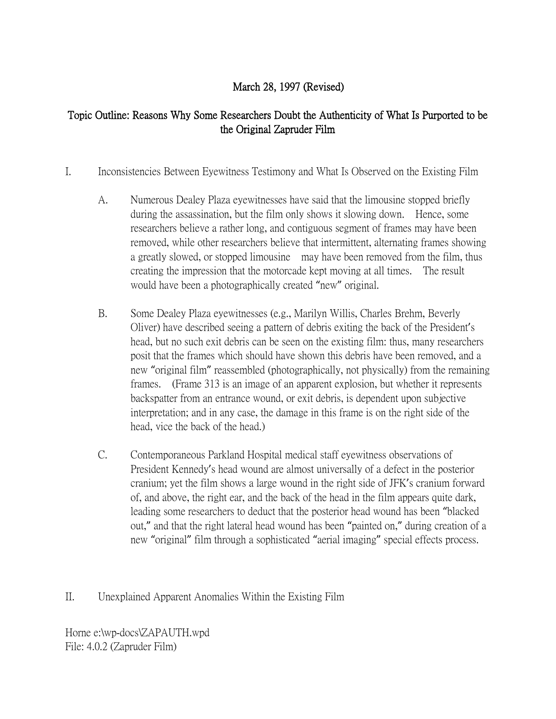## March 28, 1997 (Revised)

## Topic Outline: Reasons Why Some Researchers Doubt the Authenticity of What Is Purported to be the Original Zapruder Film

- I. Inconsistencies Between Eyewitness Testimony and What Is Observed on the Existing Film
	- A. Numerous Dealey Plaza eyewitnesses have said that the limousine stopped briefly during the assassination, but the film only shows it slowing down. Hence, some researchers believe a rather long, and contiguous segment of frames may have been removed, while other researchers believe that intermittent, alternating frames showing a greatly slowed, or stopped limousine may have been removed from the film, thus creating the impression that the motorcade kept moving at all times. The result would have been a photographically created "new" original.
	- B. Some Dealey Plaza eyewitnesses (e.g., Marilyn Willis, Charles Brehm, Beverly Oliver) have described seeing a pattern of debris exiting the back of the President's head, but no such exit debris can be seen on the existing film: thus, many researchers posit that the frames which should have shown this debris have been removed, and a new "original film" reassembled (photographically, not physically) from the remaining frames. (Frame 313 is an image of an apparent explosion, but whether it represents backspatter from an entrance wound, or exit debris, is dependent upon subjective interpretation; and in any case, the damage in this frame is on the right side of the head, vice the back of the head.)
	- C. Contemporaneous Parkland Hospital medical staff eyewitness observations of President Kennedy's head wound are almost universally of a defect in the posterior cranium; yet the film shows a large wound in the right side of JFK's cranium forward of, and above, the right ear, and the back of the head in the film appears quite dark, leading some researchers to deduct that the posterior head wound has been "blacked out," and that the right lateral head wound has been "painted on," during creation of a new "original" film through a sophisticated "aerial imaging" special effects process.

II. Unexplained Apparent Anomalies Within the Existing Film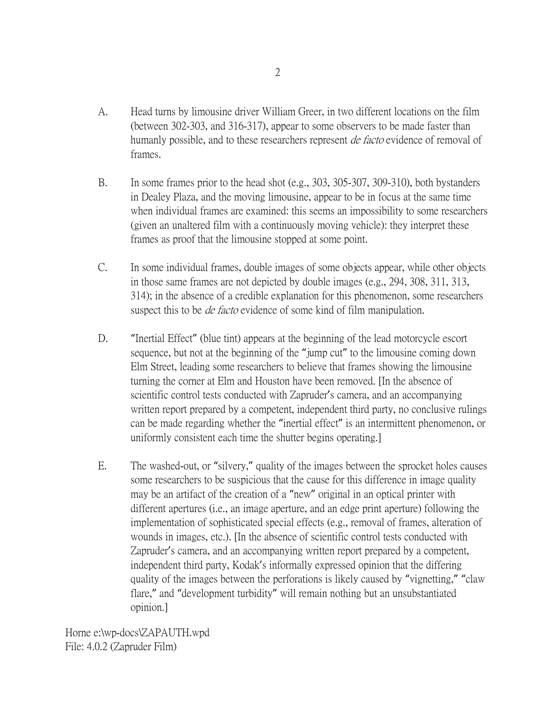- A. Head turns by limousine driver William Greer, in two different locations on the film (between 302-303, and 316-317), appear to some observers to be made faster than humanly possible, and to these researchers represent *de facto* evidence of removal of frames.
- B. In some frames prior to the head shot (e.g., 303, 305-307, 309-310), both bystanders in Dealey Plaza, and the moving limousine, appear to be in focus at the same time when individual frames are examined: this seems an impossibility to some researchers (given an unaltered film with a continuously moving vehicle): they interpret these frames as proof that the limousine stopped at some point.
- C. In some individual frames, double images of some objects appear, while other objects in those same frames are not depicted by double images (e.g., 294, 308, 311, 313, 314); in the absence of a credible explanation for this phenomenon, some researchers suspect this to be *de facto* evidence of some kind of film manipulation.
- D. "Inertial Effect" (blue tint) appears at the beginning of the lead motorcycle escort sequence, but not at the beginning of the "jump cut" to the limousine coming down Elm Street, leading some researchers to believe that frames showing the limousine turning the corner at Elm and Houston have been removed. [In the absence of scientific control tests conducted with Zapruder's camera, and an accompanying written report prepared by a competent, independent third party, no conclusive rulings can be made regarding whether the "inertial effect" is an intermittent phenomenon, or uniformly consistent each time the shutter begins operating.]
- E. The washed-out, or "silvery," quality of the images between the sprocket holes causes some researchers to be suspicious that the cause for this difference in image quality may be an artifact of the creation of a "new" original in an optical printer with different apertures (i.e., an image aperture, and an edge print aperture) following the implementation of sophisticated special effects (e.g., removal of frames, alteration of wounds in images, etc.). [In the absence of scientific control tests conducted with Zapruder's camera, and an accompanying written report prepared by a competent, independent third party, Kodak's informally expressed opinion that the differing quality of the images between the perforations is likely caused by "vignetting," "claw flare," and "development turbidity" will remain nothing but an unsubstantiated opinion.]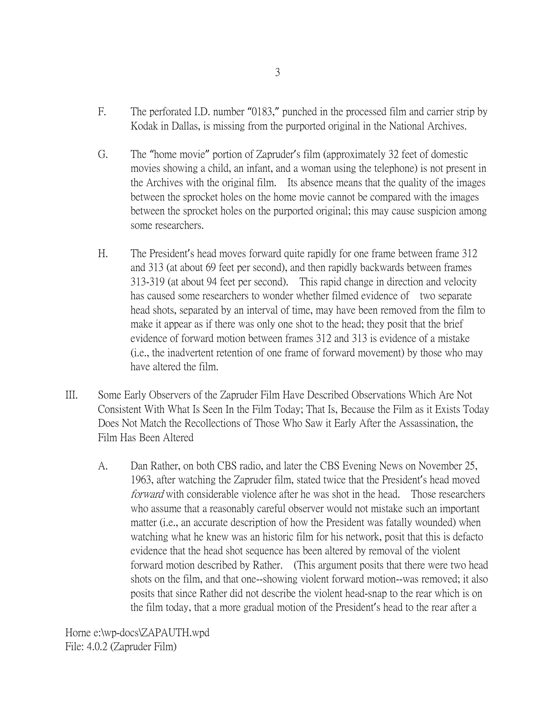- F. The perforated I.D. number "0183," punched in the processed film and carrier strip by Kodak in Dallas, is missing from the purported original in the National Archives.
- G. The "home movie" portion of Zapruder's film (approximately 32 feet of domestic movies showing a child, an infant, and a woman using the telephone) is not present in the Archives with the original film. Its absence means that the quality of the images between the sprocket holes on the home movie cannot be compared with the images between the sprocket holes on the purported original; this may cause suspicion among some researchers.
- H. The President's head moves forward quite rapidly for one frame between frame 312 and 313 (at about 69 feet per second), and then rapidly backwards between frames 313-319 (at about 94 feet per second). This rapid change in direction and velocity has caused some researchers to wonder whether filmed evidence of two separate head shots, separated by an interval of time, may have been removed from the film to make it appear as if there was only one shot to the head; they posit that the brief evidence of forward motion between frames 312 and 313 is evidence of a mistake (i.e., the inadvertent retention of one frame of forward movement) by those who may have altered the film.
- III. Some Early Observers of the Zapruder Film Have Described Observations Which Are Not Consistent With What Is Seen In the Film Today; That Is, Because the Film as it Exists Today Does Not Match the Recollections of Those Who Saw it Early After the Assassination, the Film Has Been Altered
	- A. Dan Rather, on both CBS radio, and later the CBS Evening News on November 25, 1963, after watching the Zapruder film, stated twice that the President's head moved forward with considerable violence after he was shot in the head. Those researchers who assume that a reasonably careful observer would not mistake such an important matter (i.e., an accurate description of how the President was fatally wounded) when watching what he knew was an historic film for his network, posit that this is defacto evidence that the head shot sequence has been altered by removal of the violent forward motion described by Rather. (This argument posits that there were two head shots on the film, and that one--showing violent forward motion--was removed; it also posits that since Rather did not describe the violent head-snap to the rear which is on the film today, that a more gradual motion of the President's head to the rear after a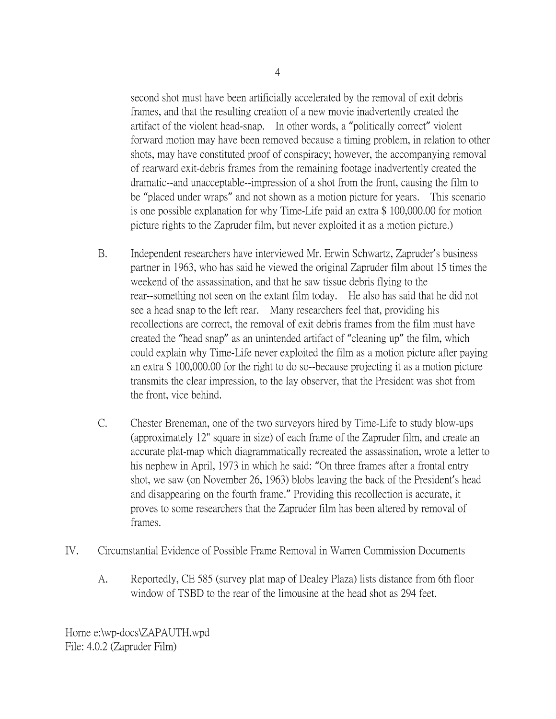second shot must have been artificially accelerated by the removal of exit debris frames, and that the resulting creation of a new movie inadvertently created the artifact of the violent head-snap. In other words, a "politically correct" violent forward motion may have been removed because a timing problem, in relation to other shots, may have constituted proof of conspiracy; however, the accompanying removal of rearward exit-debris frames from the remaining footage inadvertently created the dramatic--and unacceptable--impression of a shot from the front, causing the film to be "placed under wraps" and not shown as a motion picture for years. This scenario is one possible explanation for why Time-Life paid an extra \$ 100,000.00 for motion picture rights to the Zapruder film, but never exploited it as a motion picture.)

- B. Independent researchers have interviewed Mr. Erwin Schwartz, Zapruder's business partner in 1963, who has said he viewed the original Zapruder film about 15 times the weekend of the assassination, and that he saw tissue debris flying to the rear--something not seen on the extant film today. He also has said that he did not see a head snap to the left rear. Many researchers feel that, providing his recollections are correct, the removal of exit debris frames from the film must have created the "head snap" as an unintended artifact of "cleaning up" the film, which could explain why Time-Life never exploited the film as a motion picture after paying an extra \$ 100,000.00 for the right to do so--because projecting it as a motion picture transmits the clear impression, to the lay observer, that the President was shot from the front, vice behind.
- C. Chester Breneman, one of the two surveyors hired by Time-Life to study blow-ups (approximately 12" square in size) of each frame of the Zapruder film, and create an accurate plat-map which diagrammatically recreated the assassination, wrote a letter to his nephew in April, 1973 in which he said: "On three frames after a frontal entry shot, we saw (on November 26, 1963) blobs leaving the back of the President's head and disappearing on the fourth frame." Providing this recollection is accurate, it proves to some researchers that the Zapruder film has been altered by removal of frames.
- IV. Circumstantial Evidence of Possible Frame Removal in Warren Commission Documents
	- A. Reportedly, CE 585 (survey plat map of Dealey Plaza) lists distance from 6th floor window of TSBD to the rear of the limousine at the head shot as 294 feet.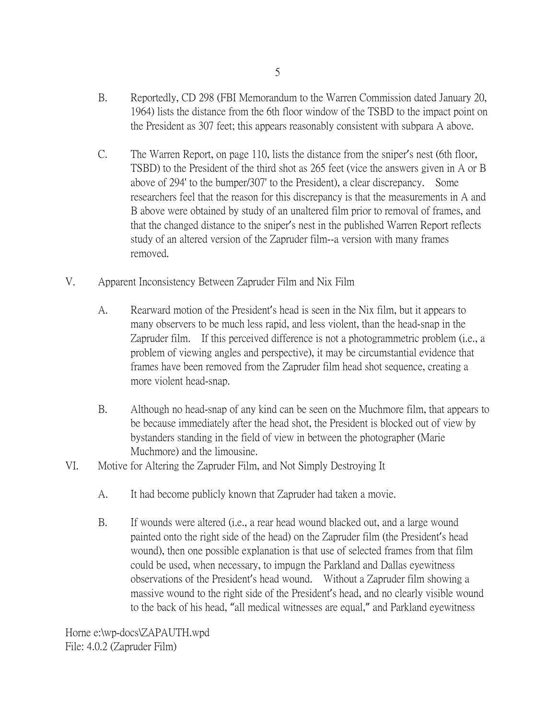- B. Reportedly, CD 298 (FBI Memorandum to the Warren Commission dated January 20, 1964) lists the distance from the 6th floor window of the TSBD to the impact point on the President as 307 feet; this appears reasonably consistent with subpara A above.
- C. The Warren Report, on page 110, lists the distance from the sniper's nest (6th floor, TSBD) to the President of the third shot as 265 feet (vice the answers given in A or B above of 294' to the bumper/307' to the President), a clear discrepancy. Some researchers feel that the reason for this discrepancy is that the measurements in A and B above were obtained by study of an unaltered film prior to removal of frames, and that the changed distance to the sniper's nest in the published Warren Report reflects study of an altered version of the Zapruder film--a version with many frames removed.
- V. Apparent Inconsistency Between Zapruder Film and Nix Film
	- A. Rearward motion of the President's head is seen in the Nix film, but it appears to many observers to be much less rapid, and less violent, than the head-snap in the Zapruder film. If this perceived difference is not a photogrammetric problem (i.e., a problem of viewing angles and perspective), it may be circumstantial evidence that frames have been removed from the Zapruder film head shot sequence, creating a more violent head-snap.
	- B. Although no head-snap of any kind can be seen on the Muchmore film, that appears to be because immediately after the head shot, the President is blocked out of view by bystanders standing in the field of view in between the photographer (Marie Muchmore) and the limousine.
- VI. Motive for Altering the Zapruder Film, and Not Simply Destroying It
	- A. It had become publicly known that Zapruder had taken a movie.
	- B. If wounds were altered (i.e., a rear head wound blacked out, and a large wound painted onto the right side of the head) on the Zapruder film (the President's head wound), then one possible explanation is that use of selected frames from that film could be used, when necessary, to impugn the Parkland and Dallas eyewitness observations of the President's head wound. Without a Zapruder film showing a massive wound to the right side of the President's head, and no clearly visible wound to the back of his head, "all medical witnesses are equal," and Parkland eyewitness